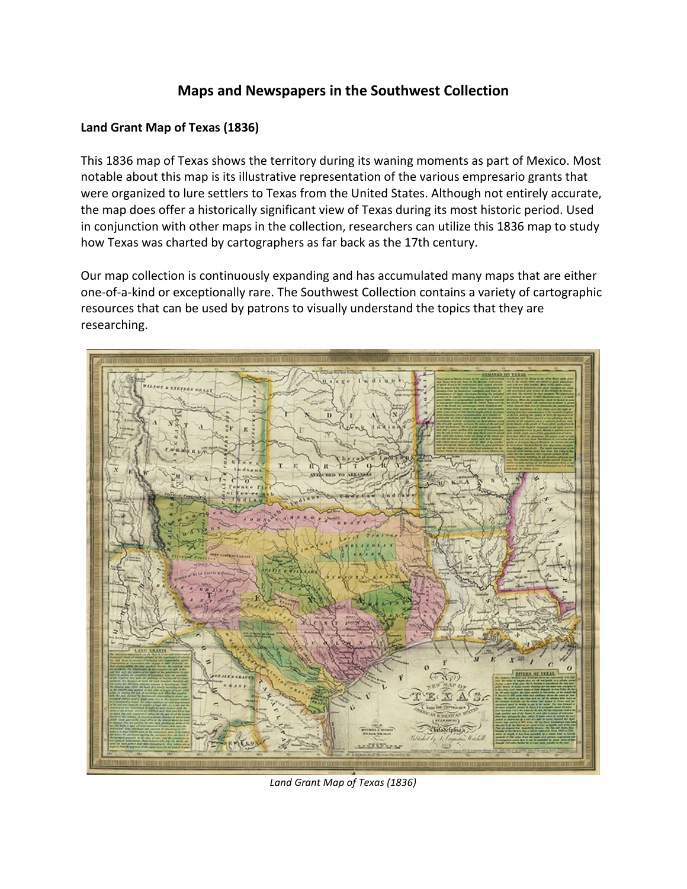## **Maps and Newspapers in the Southwest Collection**

## **Land Grant Map of Texas (1836)**

This 1836 map of Texas shows the territory during its waning moments as part of Mexico. Most notable about this map is its illustrative representation of the various empresario grants that were organized to lure settlers to Texas from the United States. Although not entirely accurate, the map does offer a historically significant view of Texas during its most historic period. Used in conjunction with other maps in the collection, researchers can utilize this 1836 map to study how Texas was charted by cartographers as far back as the 17th century.

Our map collection is continuously expanding and has accumulated many maps that are either one-of-a-kind or exceptionally rare. The Southwest Collection contains a variety of cartographic resources that can be used by patrons to visually understand the topics that they are researching.



*Land Grant Map of Texas (1836)*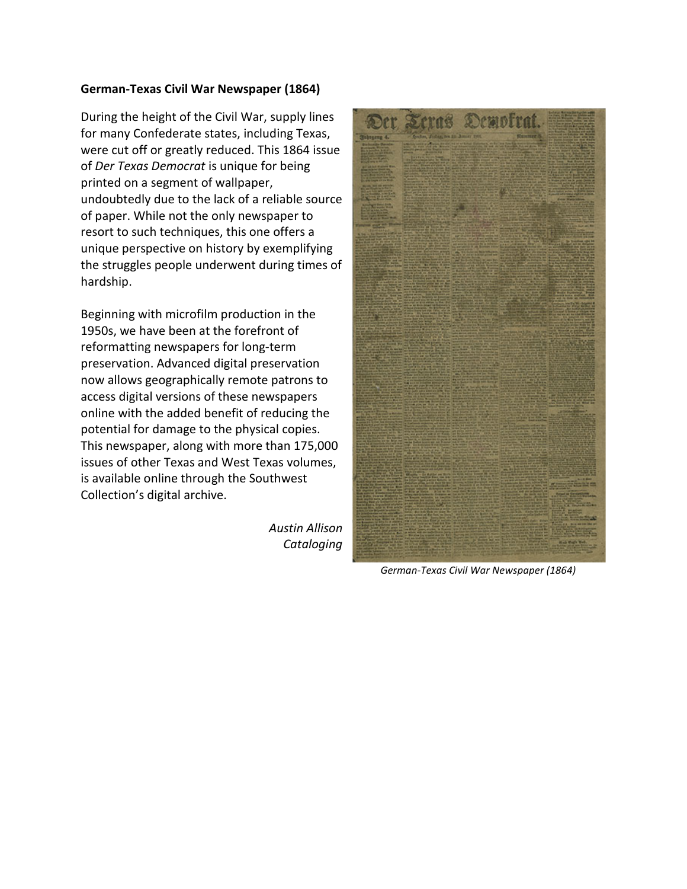## **German-Texas Civil War Newspaper (1864)**

During the height of the Civil War, supply lines for many Confederate states, including Texas, were cut off or greatly reduced. This 1864 issue of *Der Texas Democrat* is unique for being printed on a segment of wallpaper, undoubtedly due to the lack of a reliable source of paper. While not the only newspaper to resort to such techniques, this one offers a unique perspective on history by exemplifying the struggles people underwent during times of hardship.

Beginning with microfilm production in the 1950s, we have been at the forefront of reformatting newspapers for long-term preservation. Advanced digital preservation now allows geographically remote patrons to access digital versions of these newspapers online with the added benefit of reducing the potential for damage to the physical copies. This newspaper, along with more than 175,000 issues of other Texas and West Texas volumes, is available online through the Southwest Collection's digital archive.

> *Austin Allison Cataloging*



*German-Texas Civil War Newspaper (1864)*